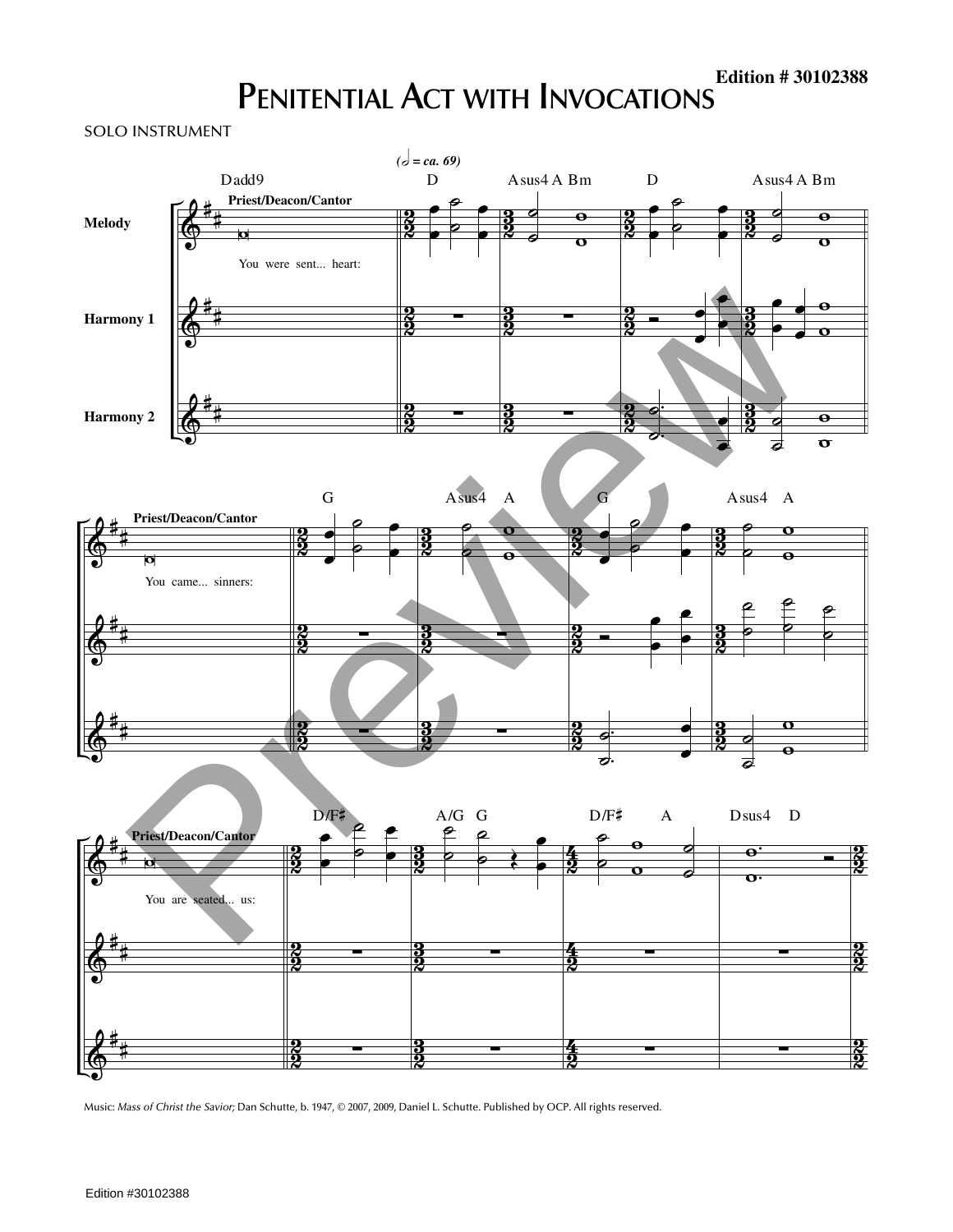## **PENITENTIAL ACT WITH INVOCATIONS**

SOLO INSTRUMENT



Music: *Mass of Christ the Savior;* Dan Schutte, b. 1947, © 2007, 2009, Daniel L. Schutte. Published by OCP. All rights reserved.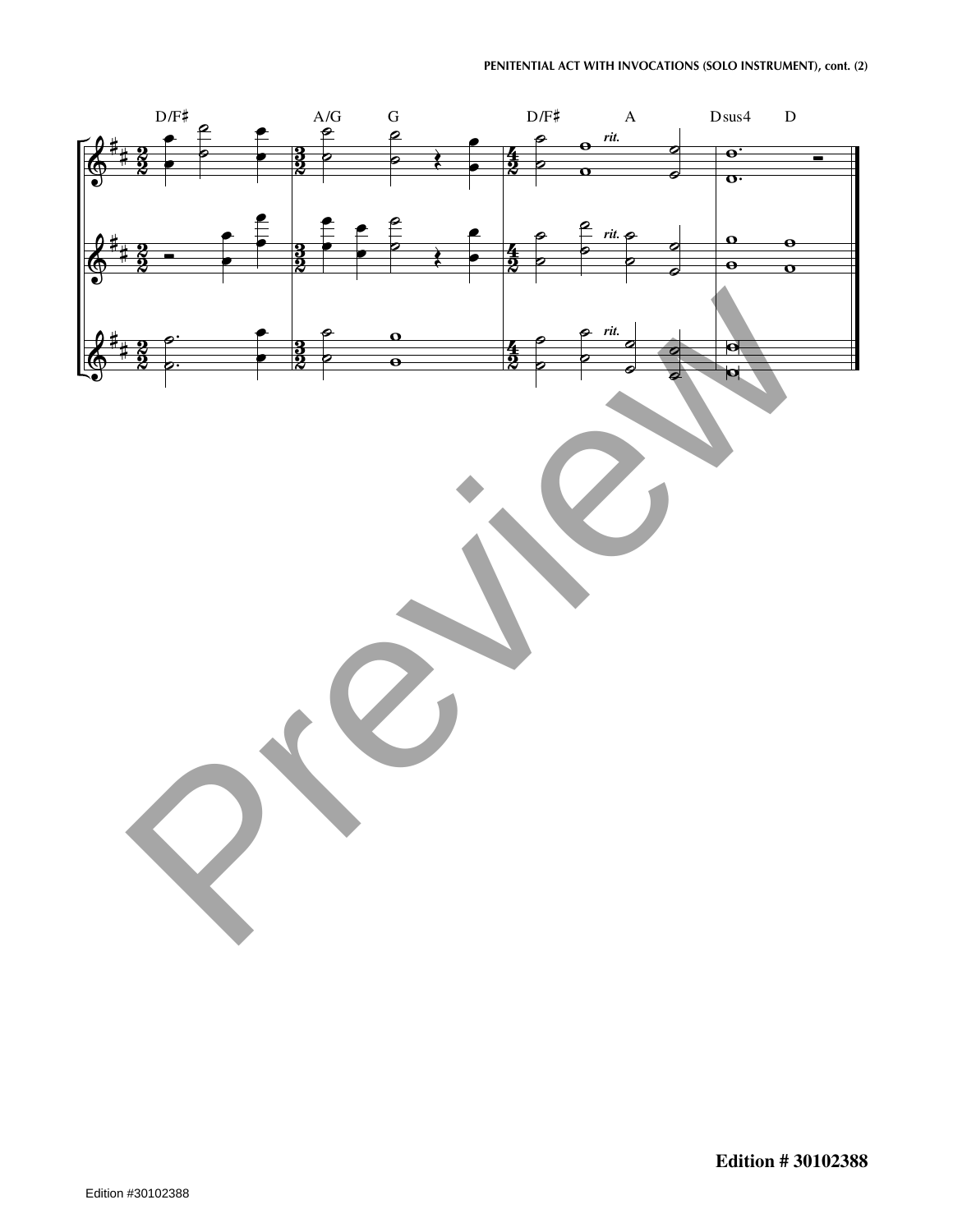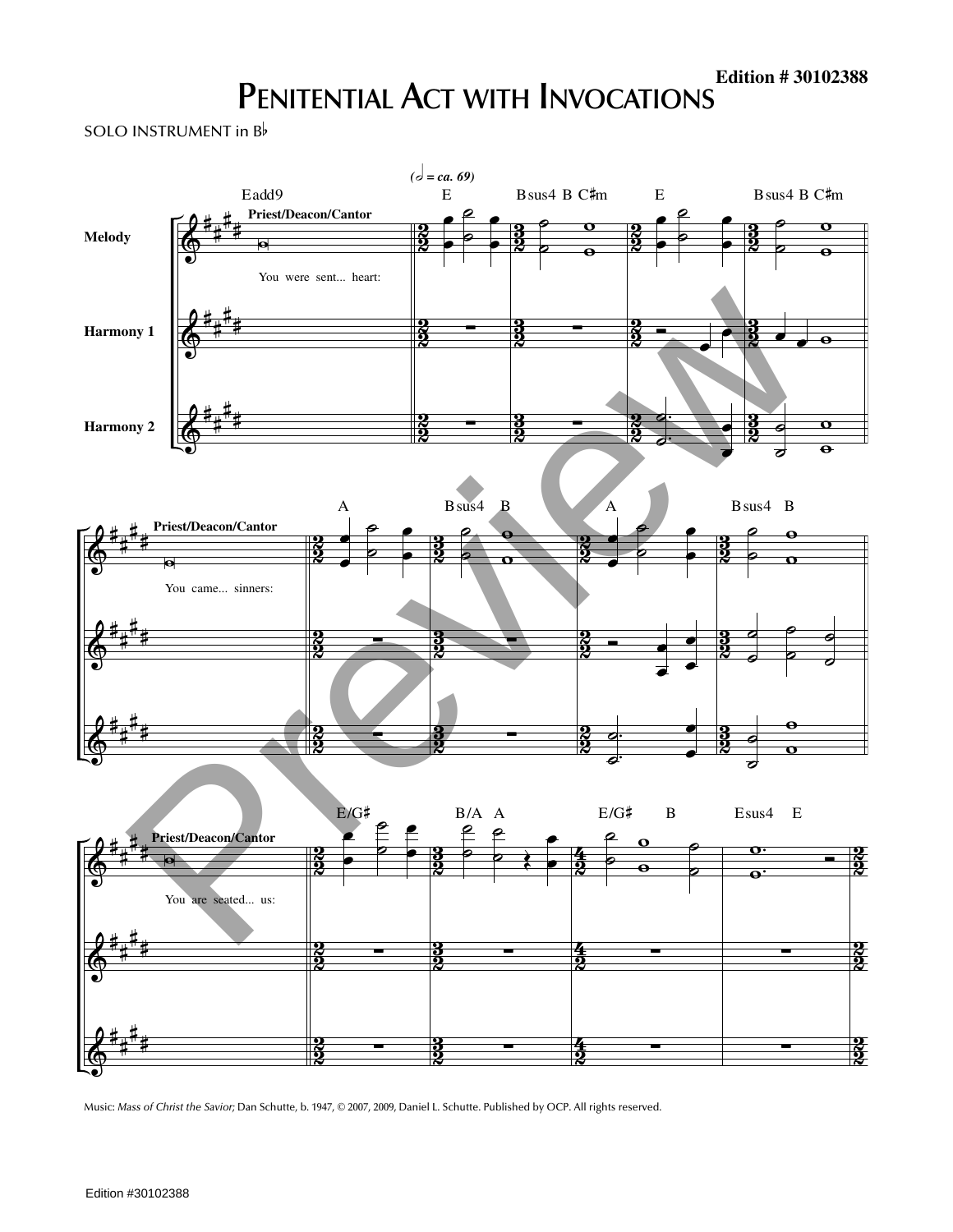## **PENITENTIAL ACT WITH INVOCATIONS**

SOLO INSTRUMENT in <sup>B</sup>



Music: *Mass of Christ the Savior;* Dan Schutte, b. 1947, © 2007, 2009, Daniel L. Schutte. Published by OCP. All rights reserved.